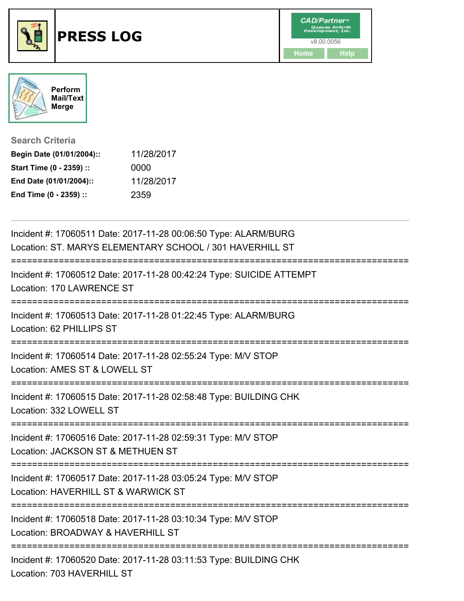



**Search Criteria**

| Begin Date (01/01/2004):: | 11/28/2017 |
|---------------------------|------------|
| Start Time (0 - 2359) ::  | 0000       |
| End Date (01/01/2004)::   | 11/28/2017 |
| End Time (0 - 2359) ::    | 2359       |

| Incident #: 17060511 Date: 2017-11-28 00:06:50 Type: ALARM/BURG<br>Location: ST. MARYS ELEMENTARY SCHOOL / 301 HAVERHILL ST |
|-----------------------------------------------------------------------------------------------------------------------------|
| Incident #: 17060512 Date: 2017-11-28 00:42:24 Type: SUICIDE ATTEMPT<br>Location: 170 LAWRENCE ST                           |
| Incident #: 17060513 Date: 2017-11-28 01:22:45 Type: ALARM/BURG<br>Location: 62 PHILLIPS ST                                 |
| Incident #: 17060514 Date: 2017-11-28 02:55:24 Type: M/V STOP<br>Location: AMES ST & LOWELL ST                              |
| Incident #: 17060515 Date: 2017-11-28 02:58:48 Type: BUILDING CHK<br>Location: 332 LOWELL ST                                |
| Incident #: 17060516 Date: 2017-11-28 02:59:31 Type: M/V STOP<br>Location: JACKSON ST & METHUEN ST                          |
| Incident #: 17060517 Date: 2017-11-28 03:05:24 Type: M/V STOP<br>Location: HAVERHILL ST & WARWICK ST                        |
| Incident #: 17060518 Date: 2017-11-28 03:10:34 Type: M/V STOP<br>Location: BROADWAY & HAVERHILL ST                          |
| Incident #: 17060520 Date: 2017-11-28 03:11:53 Type: BUILDING CHK<br>Location: 703 HAVERHILL ST                             |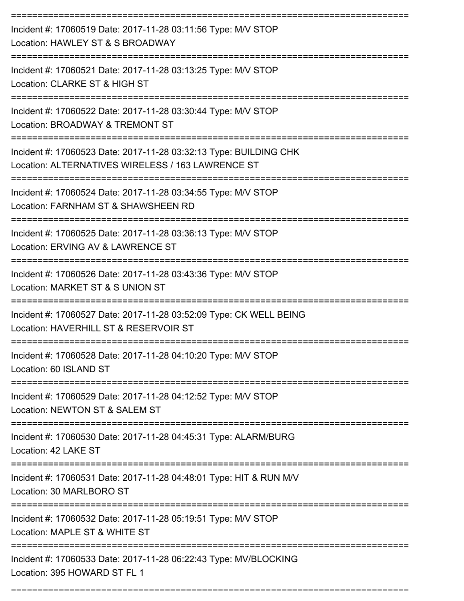| Incident #: 17060519 Date: 2017-11-28 03:11:56 Type: M/V STOP<br>Location: HAWLEY ST & S BROADWAY                      |
|------------------------------------------------------------------------------------------------------------------------|
| Incident #: 17060521 Date: 2017-11-28 03:13:25 Type: M/V STOP<br>Location: CLARKE ST & HIGH ST                         |
| Incident #: 17060522 Date: 2017-11-28 03:30:44 Type: M/V STOP<br>Location: BROADWAY & TREMONT ST                       |
| Incident #: 17060523 Date: 2017-11-28 03:32:13 Type: BUILDING CHK<br>Location: ALTERNATIVES WIRELESS / 163 LAWRENCE ST |
| Incident #: 17060524 Date: 2017-11-28 03:34:55 Type: M/V STOP<br>Location: FARNHAM ST & SHAWSHEEN RD                   |
| Incident #: 17060525 Date: 2017-11-28 03:36:13 Type: M/V STOP<br>Location: ERVING AV & LAWRENCE ST                     |
| Incident #: 17060526 Date: 2017-11-28 03:43:36 Type: M/V STOP<br>Location: MARKET ST & S UNION ST                      |
| Incident #: 17060527 Date: 2017-11-28 03:52:09 Type: CK WELL BEING<br>Location: HAVERHILL ST & RESERVOIR ST            |
| Incident #: 17060528 Date: 2017-11-28 04:10:20 Type: M/V STOP<br>Location: 60 ISLAND ST                                |
| Incident #: 17060529 Date: 2017-11-28 04:12:52 Type: M/V STOP<br>Location: NEWTON ST & SALEM ST                        |
| Incident #: 17060530 Date: 2017-11-28 04:45:31 Type: ALARM/BURG<br>Location: 42 LAKE ST                                |
| Incident #: 17060531 Date: 2017-11-28 04:48:01 Type: HIT & RUN M/V<br>Location: 30 MARLBORO ST                         |
| Incident #: 17060532 Date: 2017-11-28 05:19:51 Type: M/V STOP<br>Location: MAPLE ST & WHITE ST                         |
| Incident #: 17060533 Date: 2017-11-28 06:22:43 Type: MV/BLOCKING<br>Location: 395 HOWARD ST FL 1                       |

===========================================================================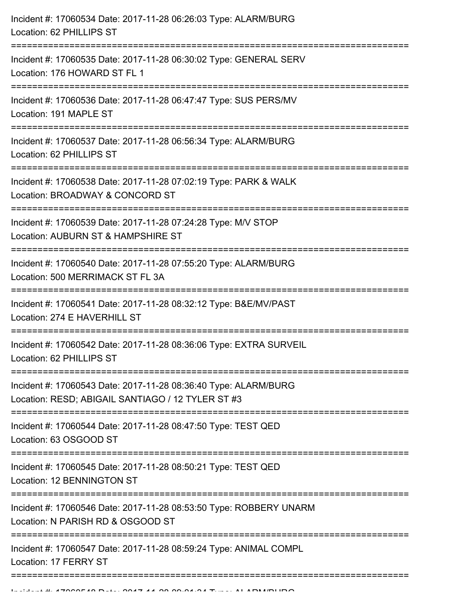| -------------------------------<br>==================== | Incident #: 17060534 Date: 2017-11-28 06:26:03 Type: ALARM/BURG<br>Location: 62 PHILLIPS ST                          |
|---------------------------------------------------------|----------------------------------------------------------------------------------------------------------------------|
|                                                         | Incident #: 17060535 Date: 2017-11-28 06:30:02 Type: GENERAL SERV<br>Location: 176 HOWARD ST FL 1                    |
|                                                         | Incident #: 17060536 Date: 2017-11-28 06:47:47 Type: SUS PERS/MV<br>Location: 191 MAPLE ST                           |
|                                                         | Incident #: 17060537 Date: 2017-11-28 06:56:34 Type: ALARM/BURG<br>Location: 62 PHILLIPS ST                          |
|                                                         | Incident #: 17060538 Date: 2017-11-28 07:02:19 Type: PARK & WALK<br>Location: BROADWAY & CONCORD ST                  |
|                                                         | Incident #: 17060539 Date: 2017-11-28 07:24:28 Type: M/V STOP<br>Location: AUBURN ST & HAMPSHIRE ST                  |
|                                                         | Incident #: 17060540 Date: 2017-11-28 07:55:20 Type: ALARM/BURG<br>Location: 500 MERRIMACK ST FL 3A                  |
|                                                         | Incident #: 17060541 Date: 2017-11-28 08:32:12 Type: B&E/MV/PAST<br>Location: 274 E HAVERHILL ST                     |
|                                                         | Incident #: 17060542 Date: 2017-11-28 08:36:06 Type: EXTRA SURVEIL<br>Location: 62 PHILLIPS ST                       |
|                                                         | Incident #: 17060543 Date: 2017-11-28 08:36:40 Type: ALARM/BURG<br>Location: RESD; ABIGAIL SANTIAGO / 12 TYLER ST #3 |
|                                                         | Incident #: 17060544 Date: 2017-11-28 08:47:50 Type: TEST QED<br>Location: 63 OSGOOD ST                              |
|                                                         | Incident #: 17060545 Date: 2017-11-28 08:50:21 Type: TEST QED<br>Location: 12 BENNINGTON ST                          |
|                                                         | Incident #: 17060546 Date: 2017-11-28 08:53:50 Type: ROBBERY UNARM<br>Location: N PARISH RD & OSGOOD ST              |
|                                                         | Incident #: 17060547 Date: 2017-11-28 08:59:24 Type: ANIMAL COMPL<br>Location: 17 FERRY ST                           |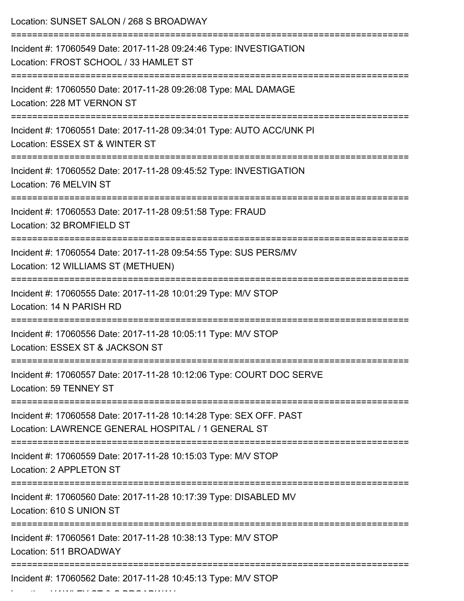| Location: SUNSET SALON / 268 S BROADWAY                                                                                  |
|--------------------------------------------------------------------------------------------------------------------------|
| Incident #: 17060549 Date: 2017-11-28 09:24:46 Type: INVESTIGATION<br>Location: FROST SCHOOL / 33 HAMLET ST              |
| Incident #: 17060550 Date: 2017-11-28 09:26:08 Type: MAL DAMAGE<br>Location: 228 MT VERNON ST                            |
| Incident #: 17060551 Date: 2017-11-28 09:34:01 Type: AUTO ACC/UNK PI<br>Location: ESSEX ST & WINTER ST                   |
| Incident #: 17060552 Date: 2017-11-28 09:45:52 Type: INVESTIGATION<br>Location: 76 MELVIN ST                             |
| Incident #: 17060553 Date: 2017-11-28 09:51:58 Type: FRAUD<br>Location: 32 BROMFIELD ST                                  |
| Incident #: 17060554 Date: 2017-11-28 09:54:55 Type: SUS PERS/MV<br>Location: 12 WILLIAMS ST (METHUEN)                   |
| Incident #: 17060555 Date: 2017-11-28 10:01:29 Type: M/V STOP<br>Location: 14 N PARISH RD                                |
| Incident #: 17060556 Date: 2017-11-28 10:05:11 Type: M/V STOP<br>Location: ESSEX ST & JACKSON ST                         |
| Incident #: 17060557 Date: 2017-11-28 10:12:06 Type: COURT DOC SERVE<br>Location: 59 TENNEY ST                           |
| Incident #: 17060558 Date: 2017-11-28 10:14:28 Type: SEX OFF. PAST<br>Location: LAWRENCE GENERAL HOSPITAL / 1 GENERAL ST |
| Incident #: 17060559 Date: 2017-11-28 10:15:03 Type: M/V STOP<br>Location: 2 APPLETON ST                                 |
| Incident #: 17060560 Date: 2017-11-28 10:17:39 Type: DISABLED MV<br>Location: 610 S UNION ST                             |
| Incident #: 17060561 Date: 2017-11-28 10:38:13 Type: M/V STOP<br>Location: 511 BROADWAY                                  |
| Incident #: 17060562 Date: 2017-11-28 10:45:13 Type: M/V STOP                                                            |

Location: HAWLEY ST & S BROADWAY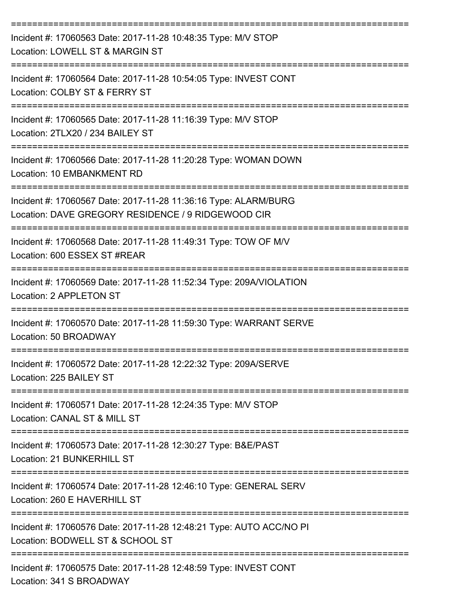| Incident #: 17060563 Date: 2017-11-28 10:48:35 Type: M/V STOP<br>Location: LOWELL ST & MARGIN ST                                     |
|--------------------------------------------------------------------------------------------------------------------------------------|
| Incident #: 17060564 Date: 2017-11-28 10:54:05 Type: INVEST CONT<br>Location: COLBY ST & FERRY ST                                    |
| Incident #: 17060565 Date: 2017-11-28 11:16:39 Type: M/V STOP<br>Location: 2TLX20 / 234 BAILEY ST                                    |
| Incident #: 17060566 Date: 2017-11-28 11:20:28 Type: WOMAN DOWN<br>Location: 10 EMBANKMENT RD                                        |
| Incident #: 17060567 Date: 2017-11-28 11:36:16 Type: ALARM/BURG<br>Location: DAVE GREGORY RESIDENCE / 9 RIDGEWOOD CIR                |
| Incident #: 17060568 Date: 2017-11-28 11:49:31 Type: TOW OF M/V<br>Location: 600 ESSEX ST #REAR                                      |
| Incident #: 17060569 Date: 2017-11-28 11:52:34 Type: 209A/VIOLATION<br>Location: 2 APPLETON ST                                       |
| Incident #: 17060570 Date: 2017-11-28 11:59:30 Type: WARRANT SERVE<br>Location: 50 BROADWAY                                          |
| Incident #: 17060572 Date: 2017-11-28 12:22:32 Type: 209A/SERVE<br>Location: 225 BAILEY ST                                           |
| =============================<br>Incident #: 17060571 Date: 2017-11-28 12:24:35 Type: M/V STOP<br>Location: CANAL ST & MILL ST       |
| Incident #: 17060573 Date: 2017-11-28 12:30:27 Type: B&E/PAST<br>Location: 21 BUNKERHILL ST                                          |
| ===============================<br>Incident #: 17060574 Date: 2017-11-28 12:46:10 Type: GENERAL SERV<br>Location: 260 E HAVERHILL ST |
| Incident #: 17060576 Date: 2017-11-28 12:48:21 Type: AUTO ACC/NO PI<br>Location: BODWELL ST & SCHOOL ST                              |
| Incident #: 17060575 Date: 2017-11-28 12:48:59 Type: INVEST CONT<br>Location: 341 S BROADWAY                                         |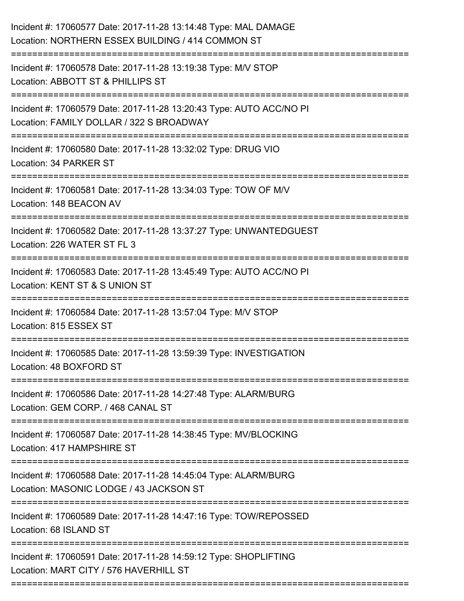| Incident #: 17060577 Date: 2017-11-28 13:14:48 Type: MAL DAMAGE<br>Location: NORTHERN ESSEX BUILDING / 414 COMMON ST                           |
|------------------------------------------------------------------------------------------------------------------------------------------------|
| --------------------<br>Incident #: 17060578 Date: 2017-11-28 13:19:38 Type: M/V STOP<br>Location: ABBOTT ST & PHILLIPS ST                     |
| Incident #: 17060579 Date: 2017-11-28 13:20:43 Type: AUTO ACC/NO PI<br>Location: FAMILY DOLLAR / 322 S BROADWAY<br>;========================== |
| Incident #: 17060580 Date: 2017-11-28 13:32:02 Type: DRUG VIO<br>Location: 34 PARKER ST                                                        |
| Incident #: 17060581 Date: 2017-11-28 13:34:03 Type: TOW OF M/V<br>Location: 148 BEACON AV                                                     |
| Incident #: 17060582 Date: 2017-11-28 13:37:27 Type: UNWANTEDGUEST<br>Location: 226 WATER ST FL 3                                              |
| Incident #: 17060583 Date: 2017-11-28 13:45:49 Type: AUTO ACC/NO PI<br>Location: KENT ST & S UNION ST<br>--------------------------------      |
| Incident #: 17060584 Date: 2017-11-28 13:57:04 Type: M/V STOP<br>Location: 815 ESSEX ST                                                        |
| Incident #: 17060585 Date: 2017-11-28 13:59:39 Type: INVESTIGATION<br>Location: 48 BOXFORD ST                                                  |
| Incident #: 17060586 Date: 2017-11-28 14:27:48 Type: ALARM/BURG<br>Location: GEM CORP. / 468 CANAL ST                                          |
| Incident #: 17060587 Date: 2017-11-28 14:38:45 Type: MV/BLOCKING<br>Location: 417 HAMPSHIRE ST                                                 |
| Incident #: 17060588 Date: 2017-11-28 14:45:04 Type: ALARM/BURG<br>Location: MASONIC LODGE / 43 JACKSON ST                                     |
| Incident #: 17060589 Date: 2017-11-28 14:47:16 Type: TOW/REPOSSED<br>Location: 68 ISLAND ST                                                    |
| Incident #: 17060591 Date: 2017-11-28 14:59:12 Type: SHOPLIFTING<br>Location: MART CITY / 576 HAVERHILL ST                                     |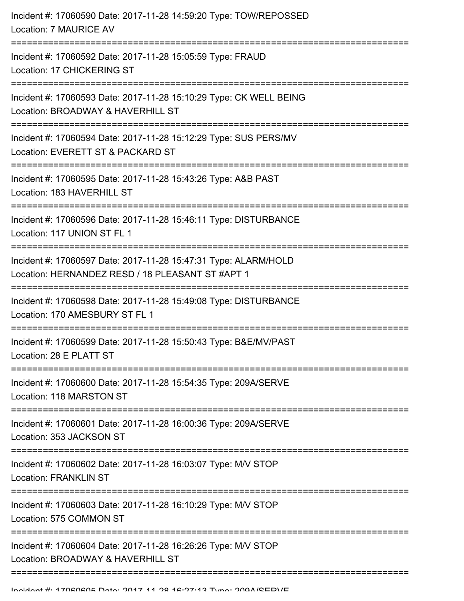| Incident #: 17060590 Date: 2017-11-28 14:59:20 Type: TOW/REPOSSED<br>Location: 7 MAURICE AV                         |
|---------------------------------------------------------------------------------------------------------------------|
| Incident #: 17060592 Date: 2017-11-28 15:05:59 Type: FRAUD<br>Location: 17 CHICKERING ST                            |
| Incident #: 17060593 Date: 2017-11-28 15:10:29 Type: CK WELL BEING<br>Location: BROADWAY & HAVERHILL ST             |
| Incident #: 17060594 Date: 2017-11-28 15:12:29 Type: SUS PERS/MV<br>Location: EVERETT ST & PACKARD ST               |
| Incident #: 17060595 Date: 2017-11-28 15:43:26 Type: A&B PAST<br>Location: 183 HAVERHILL ST                         |
| Incident #: 17060596 Date: 2017-11-28 15:46:11 Type: DISTURBANCE<br>Location: 117 UNION ST FL 1                     |
| Incident #: 17060597 Date: 2017-11-28 15:47:31 Type: ALARM/HOLD<br>Location: HERNANDEZ RESD / 18 PLEASANT ST #APT 1 |
| Incident #: 17060598 Date: 2017-11-28 15:49:08 Type: DISTURBANCE<br>Location: 170 AMESBURY ST FL 1                  |
| Incident #: 17060599 Date: 2017-11-28 15:50:43 Type: B&E/MV/PAST<br>Location: 28 E PLATT ST                         |
| Incident #: 17060600 Date: 2017-11-28 15:54:35 Type: 209A/SERVE<br>Location: 118 MARSTON ST                         |
| Incident #: 17060601 Date: 2017-11-28 16:00:36 Type: 209A/SERVE<br>Location: 353 JACKSON ST                         |
| Incident #: 17060602 Date: 2017-11-28 16:03:07 Type: M/V STOP<br><b>Location: FRANKLIN ST</b>                       |
| Incident #: 17060603 Date: 2017-11-28 16:10:29 Type: M/V STOP<br>Location: 575 COMMON ST                            |
| Incident #: 17060604 Date: 2017-11-28 16:26:26 Type: M/V STOP<br>Location: BROADWAY & HAVERHILL ST                  |
|                                                                                                                     |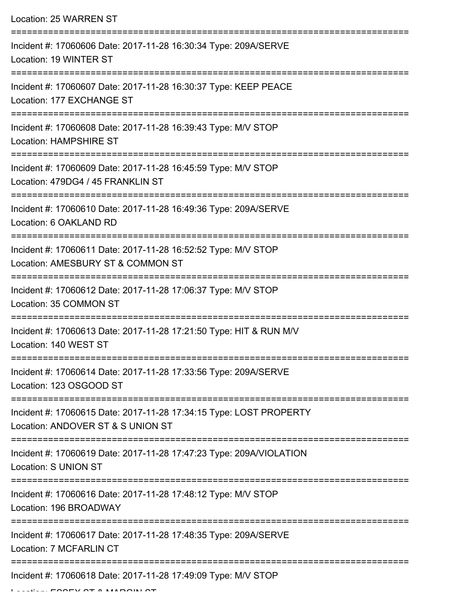| Location: 25 WARREN ST                                                                                              |
|---------------------------------------------------------------------------------------------------------------------|
| Incident #: 17060606 Date: 2017-11-28 16:30:34 Type: 209A/SERVE<br>Location: 19 WINTER ST                           |
| ===================<br>Incident #: 17060607 Date: 2017-11-28 16:30:37 Type: KEEP PEACE<br>Location: 177 EXCHANGE ST |
| Incident #: 17060608 Date: 2017-11-28 16:39:43 Type: M/V STOP<br>Location: HAMPSHIRE ST                             |
| Incident #: 17060609 Date: 2017-11-28 16:45:59 Type: M/V STOP<br>Location: 479DG4 / 45 FRANKLIN ST                  |
| ----------------<br>Incident #: 17060610 Date: 2017-11-28 16:49:36 Type: 209A/SERVE<br>Location: 6 OAKLAND RD       |
| Incident #: 17060611 Date: 2017-11-28 16:52:52 Type: M/V STOP<br>Location: AMESBURY ST & COMMON ST                  |
| Incident #: 17060612 Date: 2017-11-28 17:06:37 Type: M/V STOP<br>Location: 35 COMMON ST                             |
| Incident #: 17060613 Date: 2017-11-28 17:21:50 Type: HIT & RUN M/V<br>Location: 140 WEST ST                         |
| Incident #: 17060614 Date: 2017-11-28 17:33:56 Type: 209A/SERVE<br>Location: 123 OSGOOD ST                          |
| Incident #: 17060615 Date: 2017-11-28 17:34:15 Type: LOST PROPERTY<br>Location: ANDOVER ST & S UNION ST             |
| Incident #: 17060619 Date: 2017-11-28 17:47:23 Type: 209A/VIOLATION<br>Location: S UNION ST                         |
| Incident #: 17060616 Date: 2017-11-28 17:48:12 Type: M/V STOP<br>Location: 196 BROADWAY                             |
| Incident #: 17060617 Date: 2017-11-28 17:48:35 Type: 209A/SERVE<br><b>Location: 7 MCFARLIN CT</b>                   |
| Incident #: 17060618 Date: 2017-11-28 17:49:09 Type: M/V STOP                                                       |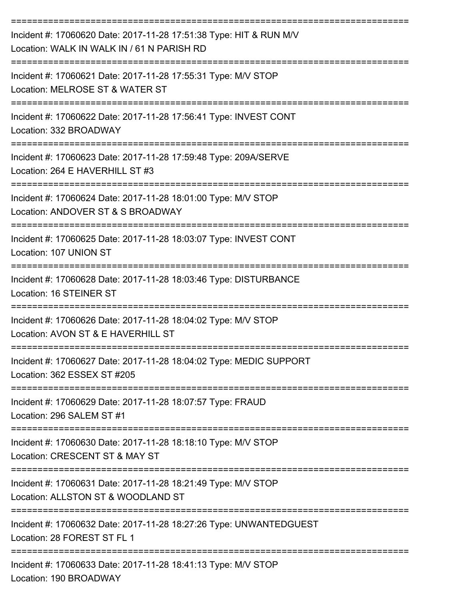| Incident #: 17060620 Date: 2017-11-28 17:51:38 Type: HIT & RUN M/V<br>Location: WALK IN WALK IN / 61 N PARISH RD                                                     |
|----------------------------------------------------------------------------------------------------------------------------------------------------------------------|
| Incident #: 17060621 Date: 2017-11-28 17:55:31 Type: M/V STOP<br>Location: MELROSE ST & WATER ST                                                                     |
| Incident #: 17060622 Date: 2017-11-28 17:56:41 Type: INVEST CONT<br>Location: 332 BROADWAY                                                                           |
| Incident #: 17060623 Date: 2017-11-28 17:59:48 Type: 209A/SERVE<br>Location: 264 E HAVERHILL ST #3                                                                   |
| Incident #: 17060624 Date: 2017-11-28 18:01:00 Type: M/V STOP<br>Location: ANDOVER ST & S BROADWAY                                                                   |
| Incident #: 17060625 Date: 2017-11-28 18:03:07 Type: INVEST CONT<br>Location: 107 UNION ST                                                                           |
| Incident #: 17060628 Date: 2017-11-28 18:03:46 Type: DISTURBANCE<br>Location: 16 STEINER ST                                                                          |
| Incident #: 17060626 Date: 2017-11-28 18:04:02 Type: M/V STOP<br>Location: AVON ST & E HAVERHILL ST                                                                  |
| Incident #: 17060627 Date: 2017-11-28 18:04:02 Type: MEDIC SUPPORT<br>Location: 362 ESSEX ST #205                                                                    |
| --------------------------------------<br>===============================<br>Incident #: 17060629 Date: 2017-11-28 18:07:57 Type: FRAUD<br>Location: 296 SALEM ST #1 |
| Incident #: 17060630 Date: 2017-11-28 18:18:10 Type: M/V STOP<br>Location: CRESCENT ST & MAY ST                                                                      |
| :===================================<br>Incident #: 17060631 Date: 2017-11-28 18:21:49 Type: M/V STOP<br>Location: ALLSTON ST & WOODLAND ST                          |
| Incident #: 17060632 Date: 2017-11-28 18:27:26 Type: UNWANTEDGUEST<br>Location: 28 FOREST ST FL 1                                                                    |
| Incident #: 17060633 Date: 2017-11-28 18:41:13 Type: M/V STOP<br>Location: 190 BROADWAY                                                                              |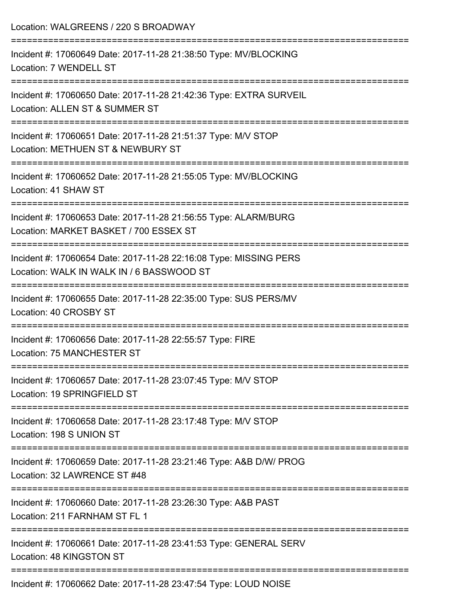| Location: WALGREENS / 220 S BROADWAY                                                                                         |
|------------------------------------------------------------------------------------------------------------------------------|
| Incident #: 17060649 Date: 2017-11-28 21:38:50 Type: MV/BLOCKING<br>Location: 7 WENDELL ST                                   |
| Incident #: 17060650 Date: 2017-11-28 21:42:36 Type: EXTRA SURVEIL<br>Location: ALLEN ST & SUMMER ST                         |
| Incident #: 17060651 Date: 2017-11-28 21:51:37 Type: M/V STOP<br>Location: METHUEN ST & NEWBURY ST<br>---------------------- |
| Incident #: 17060652 Date: 2017-11-28 21:55:05 Type: MV/BLOCKING<br>Location: 41 SHAW ST                                     |
| Incident #: 17060653 Date: 2017-11-28 21:56:55 Type: ALARM/BURG<br>Location: MARKET BASKET / 700 ESSEX ST                    |
| Incident #: 17060654 Date: 2017-11-28 22:16:08 Type: MISSING PERS<br>Location: WALK IN WALK IN / 6 BASSWOOD ST               |
| Incident #: 17060655 Date: 2017-11-28 22:35:00 Type: SUS PERS/MV<br>Location: 40 CROSBY ST                                   |
| Incident #: 17060656 Date: 2017-11-28 22:55:57 Type: FIRE<br>Location: 75 MANCHESTER ST                                      |
| Incident #: 17060657 Date: 2017-11-28 23:07:45 Type: M/V STOP<br>Location: 19 SPRINGFIELD ST                                 |
| Incident #: 17060658 Date: 2017-11-28 23:17:48 Type: M/V STOP<br>Location: 198 S UNION ST                                    |
| Incident #: 17060659 Date: 2017-11-28 23:21:46 Type: A&B D/W/ PROG<br>Location: 32 LAWRENCE ST #48                           |
| Incident #: 17060660 Date: 2017-11-28 23:26:30 Type: A&B PAST<br>Location: 211 FARNHAM ST FL 1                               |
| Incident #: 17060661 Date: 2017-11-28 23:41:53 Type: GENERAL SERV<br>Location: 48 KINGSTON ST                                |
| Incident #: 17060662 Date: 2017-11-28 23:47:54 Type: LOUD NOISE                                                              |